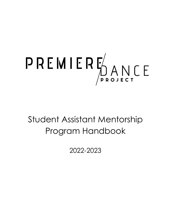

# Student Assistant Mentorship Program Handbook

2022-2023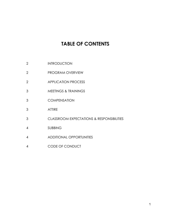# **TABLE OF CONTENTS**

- INTRODUCTION
- PROGRAM OVERVIEW
- APPLICATION PROCESS
- MEETINGS & TRAININGS
- COMPENSATION
- ATTIRE
- CLASSROOM EXPECTATIONS & RESPONSIBILITIES
- SUBBING
- ADDITIONAL OPPORTUNITIES
- CODE OF CONDUCT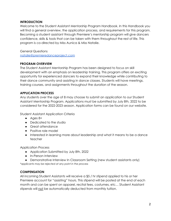#### **INTRODUCTION**

Welcome to the Student Assistant Mentorship Program Handbook. In this Handbook you will find a general overview, the application process, and requirements for this program. Becoming a student assistant through Premiere's mentorship program will give dancers confidence, skills & tools that can be taken with them throughout the rest of life. This program is co-directed by Miss Aunica & Miss Natalie.

General Questions [natalie@premieredanceproject.com](mailto:natalie@premieredanceproject.com)

#### **PROGRAM OVERVIEW**

The Student Assistant Mentorship Program has been designed to focus on skill development with an emphasis on leadership training. This program offers an exciting opportunity for experienced dancers to expand their knowledge while contributing to their dance community and assisting in dance classes. Students will have meetings, training courses, and assignments throughout the duration of the season.

#### **APPLICATION PROCESS**

Any students over the age of 8 may choose to submit an application to our Student Assistant Mentorship Program. Applications must be submitted by July 8th, 2022 to be considered for the 2022-2023 season. Application forms can be found on our website.

Student Assistant Application Criteria

- Ages 8+
- Dedicated to the studio
- Great attendance
- Positive role model
- Interested in learning more about leadership and what it means to be a dance teacher

Application Process

- Application Submitted by July 8th, 2022
- In-Person Interview
- Demonstrative Interview In Classroom Setting (new student assistants only)

*\*applicants may be rejected at any point in the process*

#### **COMPENSATION**

All incoming Student Assistants will receive a \$5 / hr stipend applied to his or her Premiere account for "assisting" hours. This stipend will be posted at the end of each month and can be spent on apparel, recital fees, costumes, etc… Student Assistant stipends will not be automatically deducted from monthly tuition.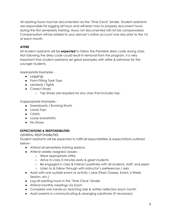All assisting hours must be documented via the 'Time Clock' binder. Student assistants are responsible for logging all hours and will learn how to properly document hours during the first semesterly training. Hours not documented will not be compensated. Compensation will be added to your dancer's online account one day prior to the 1st of each month.

# **ATTIRE**

All student assistants will be **expected** to follow the Premiere dress code during class. Not following the dress code could result in removal from the program. It is very important that student assistants set great examples with attire & behavior for the younger students.

Appropriate Examples -

- Leggings
- Form Fitting Tank Tops
- Leotards / Tights
- Correct Shoes
	- Tap Shoes are required for any class that includes tap.

Inappropriate Examples -

- Sweatpants / Running Shorts
- Loose Tops
- T-Shirts
- Loose Sweatshirts
- No Shoes

## **EXPECTATIONS & RESPONSIBILITIES**

GENERAL RESPONSIBILITIES

Student assistants will be expected to fulfill all responsibilities & expectations outlined below -

- Attend all semesterly training sessions
- Attend weekly assigned classes
	- Wear appropriate attire
	- Arrive to class 5 minutes early & greet students
	- Be engaged in class & interact positively with all students, staff, and peers
	- Listen to & follow through with instructor's preferences / asks
- Assist with one outside event or activity / year (Flash Classes, Event, 6 Week Session, etc.)
- Log all assisting hours in the 'Time Clock' binder
- Attend monthly meetings via Zoom
- Complete one hands-on teaching task & written reflection each month
- Assist parents in communicating & arranging substitutes (if necessary)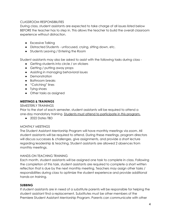#### CLASSROOM RESPONSIBILITIES

During class, student assistants are expected to take charge of all issues listed below BEFORE the teacher has to step in. This allows the teacher to build the overall classroom experience without distraction.

- Excessive Talking
- Distracted Students unfocused, crying, sitting down, etc.
- Students Leaving / Entering the Room

Student assistants may also be asked to assist with the following tasks during class -

- Getting students into circle / on stickers
- Getting / putting away props
- Assisting in managing behavioral issues
- Demonstration
- Bathroom breaks
- "Catching" lines
- Tying shoes
- Other tasks as assigned

#### **MEETINGS & TRAININGS**

SEMESTERLY TRAININGS

Prior to the start of each semester, student assistants will be required to attend a one-day mandatory training. Students must attend to participate in this program.

● 2022 Dates TBD

#### MONTHLY MEETINGS

The Student Assistant Mentorship Program will have monthly meetings via zoom. All student assistants will be required to attend. During these meetings, program directors will discuss successes & challenges, give assignments, and provide a short lecture regarding leadership & teaching. Student assistants are allowed 2 absences from monthly meetings.

#### HANDS-ON TEACHING TRAINING

Each month, student assistants will be assigned one task to complete in class. Following the completion of this task, student assistants are required to complete a short written reflection that is due by the next monthly meeting. Teachers may assign other tasks / responsibilities during class to optimize the student experience and provide additional hands-on training.

#### **SUBBING**

If student assistants are in need of a substitute parents will be responsible for helping the student assistant find a replacement. Substitutes must be other members of the Premiere Student Assistant Mentorship Program. Parents can communicate with other